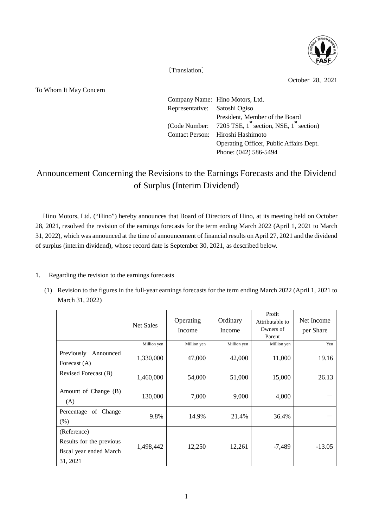

〔Translation〕

October 28, 2021

To Whom It May Concern

|                               | Company Name: Hino Motors, Ltd.                                                |  |  |
|-------------------------------|--------------------------------------------------------------------------------|--|--|
| Representative: Satoshi Ogiso |                                                                                |  |  |
|                               | President, Member of the Board                                                 |  |  |
|                               | (Code Number: 7205 TSE, $1^{\text{st}}$ section, NSE, $1^{\text{st}}$ section) |  |  |
|                               | Contact Person: Hiroshi Hashimoto                                              |  |  |
|                               | Operating Officer, Public Affairs Dept.                                        |  |  |
|                               | Phone: (042) 586-5494                                                          |  |  |

# Announcement Concerning the Revisions to the Earnings Forecasts and the Dividend of Surplus (Interim Dividend)

Hino Motors, Ltd. ("Hino") hereby announces that Board of Directors of Hino, at its meeting held on October 28, 2021, resolved the revision of the earnings forecasts for the term ending March 2022 (April 1, 2021 to March 31, 2022), which was announced at the time of announcement of financial results on April 27, 2021 and the dividend of surplus (interim dividend), whose record date is September 30, 2021, as described below.

## 1. Regarding the revision to the earnings forecasts

(1) Revision to the figures in the full-year earnings forecasts for the term ending March 2022 (April 1, 2021 to March 31, 2022)

|                                                                                | Net Sales   | Operating<br>Income | Ordinary<br>Income | Profit<br>Attributable to<br>Owners of<br>Parent | Net Income<br>per Share |
|--------------------------------------------------------------------------------|-------------|---------------------|--------------------|--------------------------------------------------|-------------------------|
|                                                                                | Million yen | Million yen         | Million yen        | Million yen                                      | Yen                     |
| Previously<br>Announced<br>Forecast (A)                                        | 1,330,000   | 47,000              | 42,000             | 11,000                                           | 19.16                   |
| Revised Forecast (B)                                                           | 1,460,000   | 54,000              | 51,000             | 15,000                                           | 26.13                   |
| Amount of Change (B)<br>$-(A)$                                                 | 130,000     | 7,000               | 9,000              | 4,000                                            |                         |
| Percentage of Change<br>(% )                                                   | 9.8%        | 14.9%               | 21.4%              | 36.4%                                            |                         |
| (Reference)<br>Results for the previous<br>fiscal year ended March<br>31, 2021 | 1,498,442   | 12,250              | 12,261             | -7,489                                           | $-13.05$                |